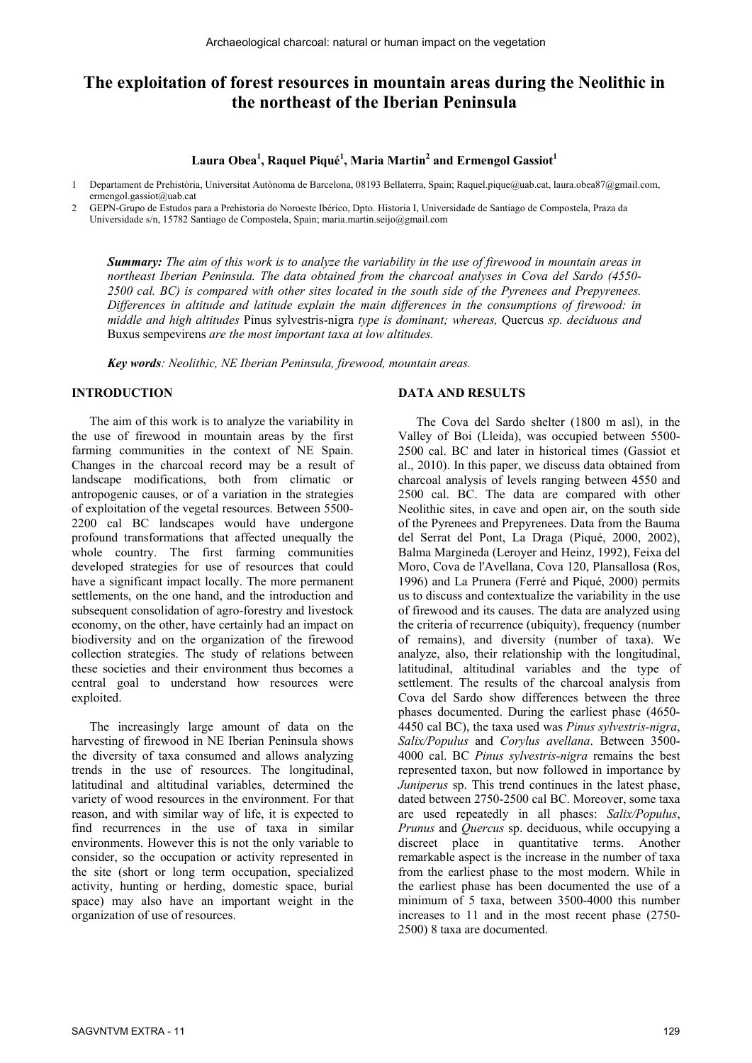# **The exploitation of forest resources in mountain areas during the Neolithic in the northeast of the Iberian Peninsula**

### **Laura Obea<sup>1</sup> , Raquel Piqué<sup>1</sup> , Maria Martin<sup>2</sup> and Ermengol Gassiot<sup>1</sup>**

1 Departament de Prehistòria, Universitat Autònoma de Barcelona, 08193 Bellaterra, Spain; Raquel.pique@uab.cat, laura.obea87@gmail.com, ermengol.gassiot@uab.cat

2 GEPN-Grupo de Estudos para a Prehistoria do Noroeste Ibérico, Dpto. Historia I, Universidade de Santiago de Compostela, Praza da Universidade s/n, 15782 Santiago de Compostela, Spain; maria.martin.seijo@gmail.com

*Summary: The aim of this work is to analyze the variability in the use of firewood in mountain areas in northeast Iberian Peninsula. The data obtained from the charcoal analyses in Cova del Sardo (4550- 2500 cal. BC) is compared with other sites located in the south side of the Pyrenees and Prepyrenees. Differences in altitude and latitude explain the main differences in the consumptions of firewood: in middle and high altitudes* Pinus sylvestris-nigra *type is dominant; whereas,* Quercus *sp. deciduous and*  Buxus sempevirens *are the most important taxa at low altitudes.* 

*Key words: Neolithic, NE Iberian Peninsula, firewood, mountain areas.* 

#### **INTRODUCTION**

The aim of this work is to analyze the variability in the use of firewood in mountain areas by the first farming communities in the context of NE Spain. Changes in the charcoal record may be a result of landscape modifications, both from climatic or antropogenic causes, or of a variation in the strategies of exploitation of the vegetal resources. Between 5500- 2200 cal BC landscapes would have undergone profound transformations that affected unequally the whole country. The first farming communities developed strategies for use of resources that could have a significant impact locally. The more permanent settlements, on the one hand, and the introduction and subsequent consolidation of agro-forestry and livestock economy, on the other, have certainly had an impact on biodiversity and on the organization of the firewood collection strategies. The study of relations between these societies and their environment thus becomes a central goal to understand how resources were exploited.

The increasingly large amount of data on the harvesting of firewood in NE Iberian Peninsula shows the diversity of taxa consumed and allows analyzing trends in the use of resources. The longitudinal, latitudinal and altitudinal variables, determined the variety of wood resources in the environment. For that reason, and with similar way of life, it is expected to find recurrences in the use of taxa in similar environments. However this is not the only variable to consider, so the occupation or activity represented in the site (short or long term occupation, specialized activity, hunting or herding, domestic space, burial space) may also have an important weight in the organization of use of resources.

#### **DATA AND RESULTS**

The Cova del Sardo shelter (1800 m asl), in the Valley of Boi (Lleida), was occupied between 5500- 2500 cal. BC and later in historical times (Gassiot et al., 2010). In this paper, we discuss data obtained from charcoal analysis of levels ranging between 4550 and 2500 cal. BC. The data are compared with other Neolithic sites, in cave and open air, on the south side of the Pyrenees and Prepyrenees. Data from the Bauma del Serrat del Pont, La Draga (Piqué, 2000, 2002), Balma Margineda (Leroyer and Heinz, 1992), Feixa del Moro, Cova de l'Avellana, Cova 120, Plansallosa (Ros, 1996) and La Prunera (Ferré and Piqué, 2000) permits us to discuss and contextualize the variability in the use of firewood and its causes. The data are analyzed using the criteria of recurrence (ubiquity), frequency (number of remains), and diversity (number of taxa). We analyze, also, their relationship with the longitudinal, latitudinal, altitudinal variables and the type of settlement. The results of the charcoal analysis from Cova del Sardo show differences between the three phases documented. During the earliest phase (4650- 4450 cal BC), the taxa used was *Pinus sylvestris-nigra*, *Salix/Populus* and *Corylus avellana*. Between 3500- 4000 cal. BC *Pinus sylvestris-nigra* remains the best represented taxon, but now followed in importance by *Juniperus* sp. This trend continues in the latest phase, dated between 2750-2500 cal BC. Moreover, some taxa are used repeatedly in all phases: *Salix/Populus*, *Prunus* and *Quercus* sp. deciduous, while occupying a discreet place in quantitative terms. Another remarkable aspect is the increase in the number of taxa from the earliest phase to the most modern. While in the earliest phase has been documented the use of a minimum of 5 taxa, between 3500-4000 this number increases to 11 and in the most recent phase (2750- 2500) 8 taxa are documented.